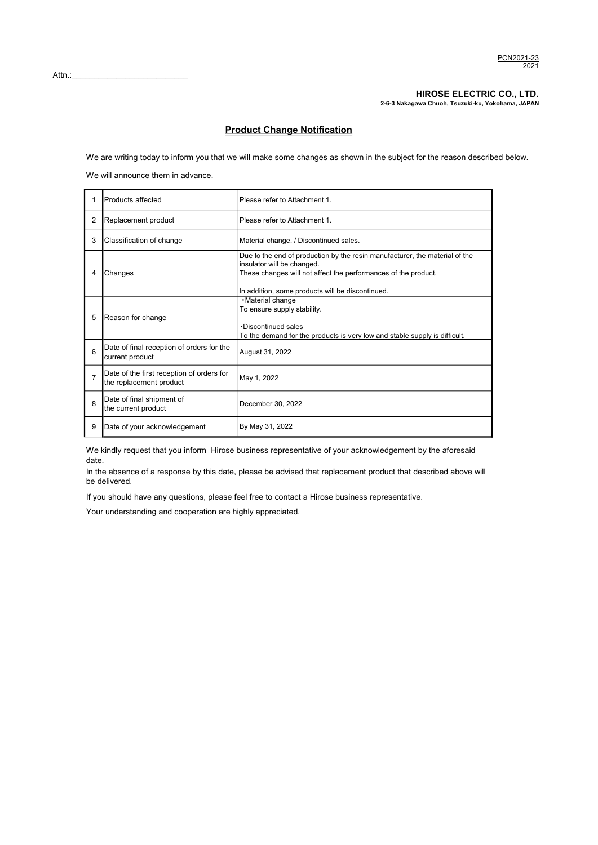HIROSE ELECTRIC CO., LTD. 2-6-3 Nakagawa Chuoh, Tsuzuki-ku, Yokohama, JAPAN

## Product Change Notification

We are writing today to inform you that we will make some changes as shown in the subject for the reason described below. We will announce them in advance.

|                                                                                                    | Products affected                                                    | Please refer to Attachment 1.                                                                                                                                                                                                   |  |
|----------------------------------------------------------------------------------------------------|----------------------------------------------------------------------|---------------------------------------------------------------------------------------------------------------------------------------------------------------------------------------------------------------------------------|--|
| 2                                                                                                  | Replacement product                                                  | Please refer to Attachment 1.                                                                                                                                                                                                   |  |
| 3                                                                                                  | Classification of change                                             | Material change. / Discontinued sales.                                                                                                                                                                                          |  |
| 4                                                                                                  | Changes                                                              | Due to the end of production by the resin manufacturer, the material of the<br>insulator will be changed.<br>These changes will not affect the performances of the product.<br>In addition, some products will be discontinued. |  |
| · Material change<br>To ensure supply stability.<br>5<br>Reason for change<br>. Discontinued sales |                                                                      | To the demand for the products is very low and stable supply is difficult.                                                                                                                                                      |  |
| 6                                                                                                  | Date of final reception of orders for the<br>current product         | August 31, 2022                                                                                                                                                                                                                 |  |
| $\overline{7}$                                                                                     | Date of the first reception of orders for<br>the replacement product | May 1, 2022                                                                                                                                                                                                                     |  |
| 8                                                                                                  | Date of final shipment of<br>the current product                     | December 30, 2022                                                                                                                                                                                                               |  |
| 9                                                                                                  | Date of your acknowledgement                                         | By May 31, 2022                                                                                                                                                                                                                 |  |

We kindly request that you inform Hirose business representative of your acknowledgement by the aforesaid date.

In the absence of a response by this date, please be advised that replacement product that described above will be delivered.

If you should have any questions, please feel free to contact a Hirose business representative.

Your understanding and cooperation are highly appreciated.

Attn.: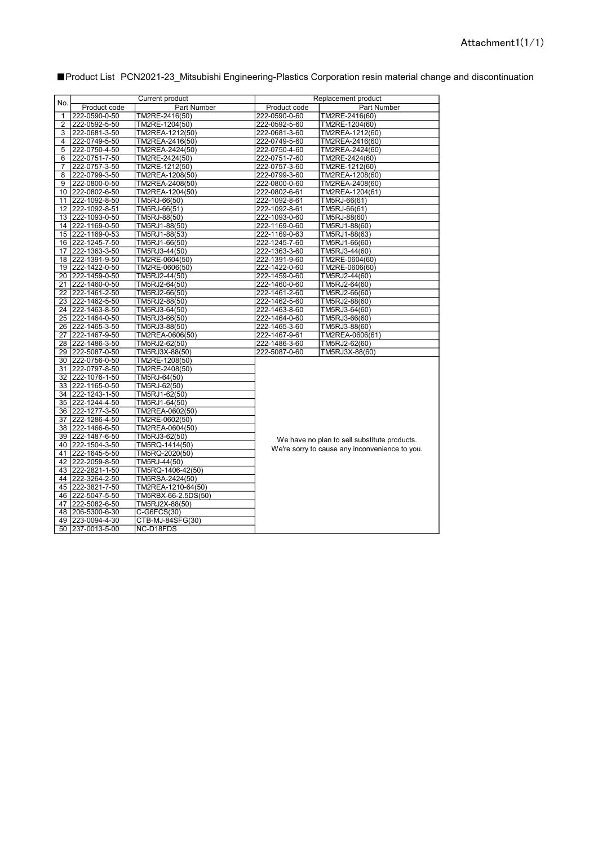| No. | <b>Current product</b>                                                                                                                                                                     |                                                               | Replacement product |                 |
|-----|--------------------------------------------------------------------------------------------------------------------------------------------------------------------------------------------|---------------------------------------------------------------|---------------------|-----------------|
|     | Product code                                                                                                                                                                               | Part Number                                                   | Product code        | Part Number     |
| 1   | 222-0590-0-50                                                                                                                                                                              | TM2RE-2416(50)                                                | 222-0590-0-60       | TM2RE-2416(60)  |
| 2   | 222-0592-5-50                                                                                                                                                                              | TM2RE-1204(50)                                                | 222-0592-5-60       | TM2RE-1204(60)  |
| 3   | 222-0681-3-50                                                                                                                                                                              | TM2REA-1212(50)                                               | 222-0681-3-60       | TM2REA-1212(60) |
| 4   | 222-0749-5-50                                                                                                                                                                              | TM2REA-2416(50)                                               | 222-0749-5-60       | TM2REA-2416(60) |
| 5   | 222-0750-4-50                                                                                                                                                                              | TM2REA-2424(50)                                               | 222-0750-4-60       | TM2REA-2424(60) |
| 6   | 222-0751-7-50                                                                                                                                                                              | TM2RE-2424(50)                                                | 222-0751-7-60       | TM2RE-2424(60)  |
| 7   | 222-0757-3-50                                                                                                                                                                              | TM2RE-1212(50)                                                | 222-0757-3-60       | TM2RE-1212(60)  |
| 8   | 222-0799-3-50                                                                                                                                                                              | TM2REA-1208(50)                                               | 222-0799-3-60       | TM2REA-1208(60) |
| 9   | 222-0800-0-50                                                                                                                                                                              | TM2REA-2408(50)                                               | 222-0800-0-60       | TM2REA-2408(60) |
|     | 10 222-0802-6-50                                                                                                                                                                           | TM2REA-1204(50)                                               | 222-0802-6-61       | TM2REA-1204(61) |
|     | 11 222-1092-8-50                                                                                                                                                                           | TM5RJ-66(50)                                                  | 222-1092-8-61       | TM5RJ-66(61)    |
|     | 12 222-1092-8-51                                                                                                                                                                           | TM5RJ-66(51)                                                  | 222-1092-8-61       | TM5RJ-66(61)    |
|     | 13 222-1093-0-50                                                                                                                                                                           | TM5RJ-88(50)                                                  | 222-1093-0-60       | TM5RJ-88(60)    |
|     | 14 222-1169-0-50                                                                                                                                                                           | TM5RJ1-88(50)                                                 | 222-1169-0-60       | TM5RJ1-88(60)   |
|     | 15 222-1169-0-53                                                                                                                                                                           | TM5RJ1-88(53)                                                 | 222-1169-0-63       | TM5RJ1-88(63)   |
|     | 16 222-1245-7-50                                                                                                                                                                           | TM5RJ1-66(50)                                                 | 222-1245-7-60       | TM5RJ1-66(60)   |
|     | 17 222-1363-3-50                                                                                                                                                                           | TM5RJ3-44(50)                                                 | 222-1363-3-60       | TM5RJ3-44(60)   |
|     | 18 222-1391-9-50                                                                                                                                                                           | TM2RE-0604(50)                                                | 222-1391-9-60       | TM2RE-0604(60)  |
|     | 19 222-1422-0-50                                                                                                                                                                           | TM2RE-0606(50)                                                | 222-1422-0-60       | TM2RE-0606(60)  |
|     | 20 222-1459-0-50                                                                                                                                                                           | TM5RJ2-44(50)                                                 | 222-1459-0-60       | TM5RJ2-44(60)   |
|     | 21 222-1460-0-50                                                                                                                                                                           | TM5RJ2-64(50)                                                 | 222-1460-0-60       | TM5RJ2-64(60)   |
|     | 22 222-1461-2-50                                                                                                                                                                           | TM5RJ2-66(50)                                                 | 222-1461-2-60       | TM5RJ2-66(60)   |
|     | 23 222-1462-5-50                                                                                                                                                                           | TM5RJ2-88(50)                                                 | 222-1462-5-60       | TM5RJ2-88(60)   |
|     | 24 222-1463-8-50                                                                                                                                                                           | TM5RJ3-64(50)                                                 | 222-1463-8-60       | TM5RJ3-64(60)   |
|     | 25 222-1464-0-50                                                                                                                                                                           | TM5RJ3-66(50)                                                 | 222-1464-0-60       | TM5RJ3-66(60)   |
|     | 26 222-1465-3-50                                                                                                                                                                           | TM5RJ3-88(50)                                                 | 222-1465-3-60       | TM5RJ3-88(60)   |
|     | 27 222-1467-9-50                                                                                                                                                                           | TM2REA-0606(50)                                               | 222-1467-9-61       | TM2REA-0606(61) |
|     | 28 222-1486-3-50                                                                                                                                                                           | TM5RJ2-62(50)                                                 | 222-1486-3-60       | TM5RJ2-62(60)   |
|     | 29 222-5087-0-50                                                                                                                                                                           | TM5RJ3X-88(50)                                                | 222-5087-0-60       | TM5RJ3X-88(60)  |
|     | 30 222-0756-0-50                                                                                                                                                                           | TM2RE-1208(50)                                                |                     |                 |
| 31  | 222-0797-8-50                                                                                                                                                                              | TM2RE-2408(50)                                                |                     |                 |
|     | 32 222-1076-1-50                                                                                                                                                                           | TM5RJ-64(50)                                                  |                     |                 |
|     | 33 222-1165-0-50                                                                                                                                                                           | TM5RJ-62(50)                                                  |                     |                 |
|     | 34 222-1243-1-50<br>TM5RJ1-62(50)<br>35 222-1244-4-50<br>TM5RJ1-64(50)<br>36 222-1277-3-50<br>TM2REA-0602(50)<br>37 222-1286-4-50<br>TM2RE-0602(50)<br>38 222-1466-6-50<br>TM2REA-0604(50) |                                                               |                     |                 |
|     |                                                                                                                                                                                            |                                                               |                     |                 |
|     |                                                                                                                                                                                            |                                                               |                     |                 |
|     |                                                                                                                                                                                            |                                                               |                     |                 |
|     |                                                                                                                                                                                            |                                                               |                     |                 |
|     | 39 222-1487-6-50                                                                                                                                                                           | TM5RJ3-62(50)<br>We have no plan to sell substitute products. |                     |                 |
|     | 40 222-1504-3-50<br>TM5RQ-1414(50)<br>We're sorry to cause any inconvenience to you.<br>41 222-1645-5-50<br>TM5RQ-2020(50)                                                                 |                                                               |                     |                 |
|     |                                                                                                                                                                                            |                                                               |                     |                 |
|     | 42 222-2059-8-50                                                                                                                                                                           | TM5RJ-44(50)                                                  |                     |                 |
|     | 43 222-2821-1-50                                                                                                                                                                           | TM5RQ-1406-42(50)                                             |                     |                 |
|     | 44 222-3264-2-50                                                                                                                                                                           | TM5RSA-2424(50)                                               |                     |                 |
|     | 45 222-3821-7-50                                                                                                                                                                           | TM2REA-1210-64(50)                                            |                     |                 |
|     | 46 222-5047-5-50                                                                                                                                                                           | TM5RBX-66-2.5DS(50)                                           |                     |                 |
| 47  | 222-5082-6-50                                                                                                                                                                              | TM5RJ2X-88(50)                                                |                     |                 |
|     | 48 206-5300-6-30                                                                                                                                                                           | $C-G6FCS(30)$                                                 |                     |                 |
|     | 49 223-0094-4-30                                                                                                                                                                           | CTB-MJ-84SFG(30)                                              |                     |                 |
|     | 50 237-0013-5-00                                                                                                                                                                           | NC-D18FDS                                                     |                     |                 |

■Product List PCN2021-23\_Mitsubishi Engineering-Plastics Corporation resin material change and discontinuation